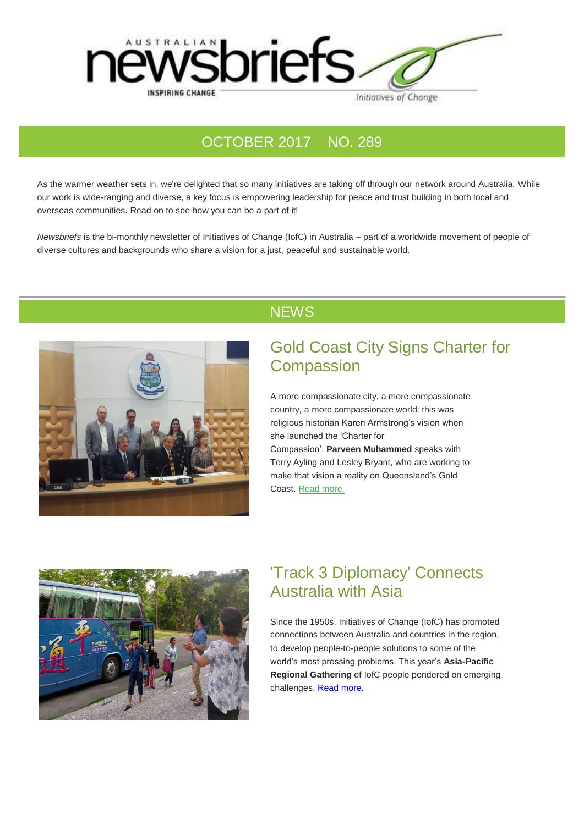

#### OCTOBER 2017 NO. 289

As the warmer weather sets in, we're delighted that so many initiatives are taking off through our network around Australia. While our work is wide-ranging and diverse, a key focus is empowering leadership for peace and trust building in both local and overseas communities. Read on to see how you can be a part of it!

*Newsbriefs* is the bi-monthly newsletter of Initiatives of Change (IofC) in Australia – part of a worldwide movement of people of diverse cultures and backgrounds who share a vision for a just, peaceful and sustainable world.



#### **NEWS**

### Gold Coast City Signs Charter for **Compassion**

A more compassionate city, a more compassionate country, a more compassionate world: this was religious historian Karen Armstrong's vision when she launched the 'Charter for Compassion'. **Parveen Muhammed** speaks with Terry Ayling and Lesley Bryant, who are working to make that vision a reality on Queensland's Gold

Coast. [Read more.](https://www.vision6.com.au/ch/69447/173jh/1744294/e6e9015588.html)



## 'Track 3 Diplomacy' Connects Australia with Asia

Since the 1950s, Initiatives of Change (IofC) has promoted connections between Australia and countries in the region, to develop people-to-people solutions to some of the world's most pressing problems. This year's **Asia-Pacific Regional Gathering** of IofC people pondered on emerging challenges. [Read more.](https://www.vision6.com.au/ch/69447/173jh/1744333/e6e909735.html)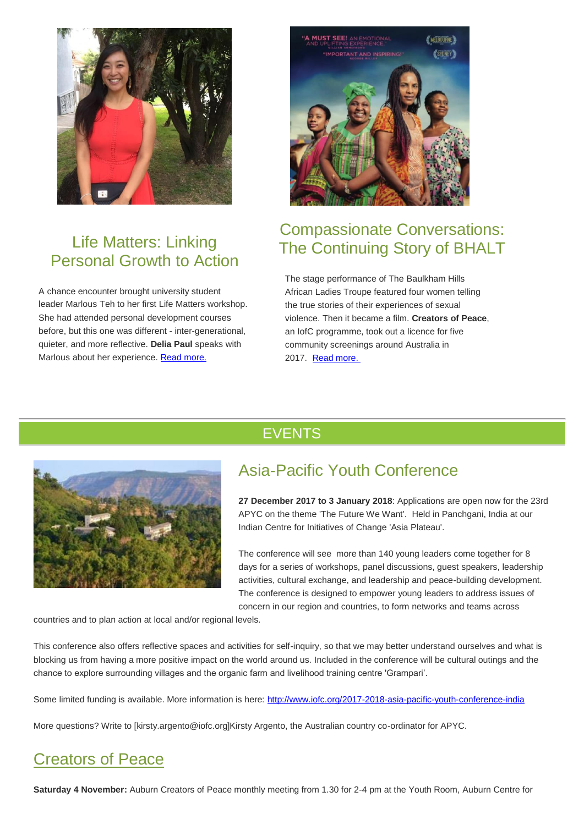

## Life Matters: Linking Personal Growth to Action

A chance encounter brought university student leader Marlous Teh to her first Life Matters workshop. She had attended personal development courses before, but this one was different - inter-generational, quieter, and more reflective. **Delia Paul** speaks with Marlous about her experience. [Read more.](https://www.vision6.com.au/ch/69447/173jh/1744268/e6e909v6v.html)



# Compassionate Conversations: The Continuing Story of BHALT

The stage performance of The Baulkham Hills African Ladies Troupe featured four women telling the true stories of their experiences of sexual violence. Then it became a film. **Creators of Peace**, an IofC programme, took out a licence for five community screenings around Australia in 2017. [Read more.](https://www.vision6.com.au/ch/69447/173jh/1744305/e6e90hxsc.html)

# EVENTS



# Asia-Pacific Youth Conference

**27 December 2017 to 3 January 2018**: Applications are open now for the 23rd APYC on the theme 'The Future We Want'. Held in Panchgani, India at our Indian Centre for Initiatives of Change 'Asia Plateau'.

The conference will see more than 140 young leaders come together for 8 days for a series of workshops, panel discussions, guest speakers, leadership activities, cultural exchange, and leadership and peace-building development. The conference is designed to empower young leaders to address issues of concern in our region and countries, to form networks and teams across

countries and to plan action at local and/or regional levels.

This conference also offers reflective spaces and activities for self-inquiry, so that we may better understand ourselves and what is blocking us from having a more positive impact on the world around us. Included in the conference will be cultural outings and the chance to explore surrounding villages and the organic farm and livelihood training centre 'Grampari'.

Some limited funding is available. More information is here: [http://www.iofc.org/2017-2018-asia-pacific-youth-conference-india](https://www.vision6.com.au/ch/69447/173jh/1744559/e6e90wy7d.html)

More questions? Write to [kirsty.argento@iofc.org]Kirsty Argento, the Australian country co-ordinator for APYC.

# Creators of Peace

**Saturday 4 November:** Auburn Creators of Peace monthly meeting from 1.30 for 2-4 pm at the Youth Room, Auburn Centre for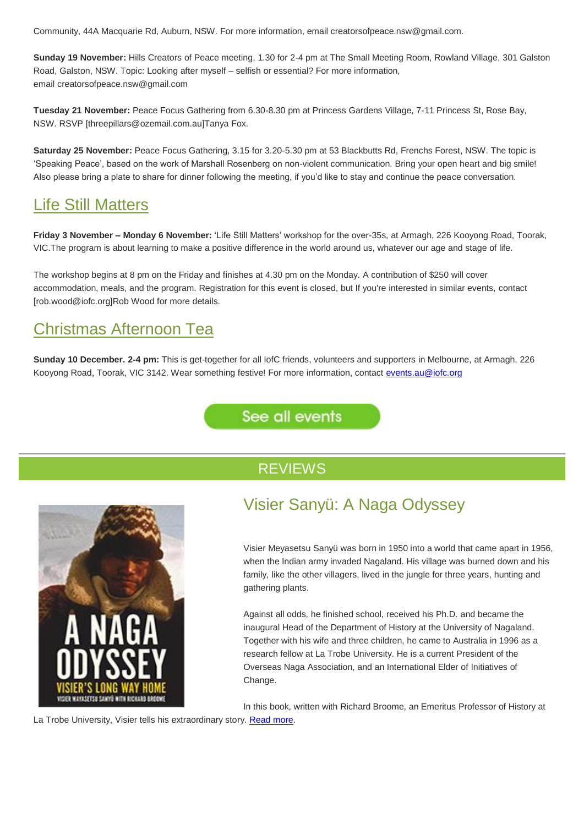Community, 44A Macquarie Rd, Auburn, NSW. For more information, email creatorsofpeace.nsw@gmail.com.

**Sunday 19 November:** Hills Creators of Peace meeting, 1.30 for 2-4 pm at The Small Meeting Room, Rowland Village, 301 Galston Road, Galston, NSW. Topic: Looking after myself – selfish or essential? For more information, email creatorsofpeace.nsw@gmail.com

**Tuesday 21 November:** Peace Focus Gathering from 6.30-8.30 pm at Princess Gardens Village, 7-11 Princess St, Rose Bay, NSW. RSVP [threepillars@ozemail.com.au]Tanya Fox.

**Saturday 25 November:** Peace Focus Gathering, 3.15 for 3.20-5.30 pm at 53 Blackbutts Rd, Frenchs Forest, NSW. The topic is 'Speaking Peace', based on the work of Marshall Rosenberg on non-violent communication. Bring your open heart and big smile! Also please bring a plate to share for dinner following the meeting, if you'd like to stay and continue the peace conversation.

### Life Still Matters

**Friday 3 November – Monday 6 November:** 'Life Still Matters' workshop for the over-35s, at Armagh, 226 Kooyong Road, Toorak, VIC.The program is about learning to make a positive difference in the world around us, whatever our age and stage of life.

The workshop begins at 8 pm on the Friday and finishes at 4.30 pm on the Monday. A contribution of \$250 will cover accommodation, meals, and the program. Registration for this event is closed, but If you're interested in similar events, contact [rob.wood@iofc.org]Rob Wood for more details.

## Christmas Afternoon Tea

**Sunday 10 December. 2-4 pm:** This is get-together for all IofC friends, volunteers and supporters in Melbourne, at Armagh, 226 Kooyong Road, Toorak, VIC 3142. Wear something festive! For more information, contact [events.au@iofc.org](mailto:events.au@iofc.org)

See all events

#### **REVIEWS**



## Visier Sanyü: A Naga Odyssey

Visier Meyasetsu Sanyü was born in 1950 into a world that came apart in 1956, when the Indian army invaded Nagaland. His village was burned down and his family, like the other villagers, lived in the jungle for three years, hunting and gathering plants.

Against all odds, he finished school, received his Ph.D. and became the inaugural Head of the Department of History at the University of Nagaland. Together with his wife and three children, he came to Australia in 1996 as a research fellow at La Trobe University. He is a current President of the Overseas Naga Association, and an International Elder of Initiatives of Change.

In this book, written with Richard Broome, an Emeritus Professor of History at

La Trobe University, Visier tells his extraordinary story. [Read more.](https://www.vision6.com.au/ch/69447/173jh/1745456/e6e90gvct.html)